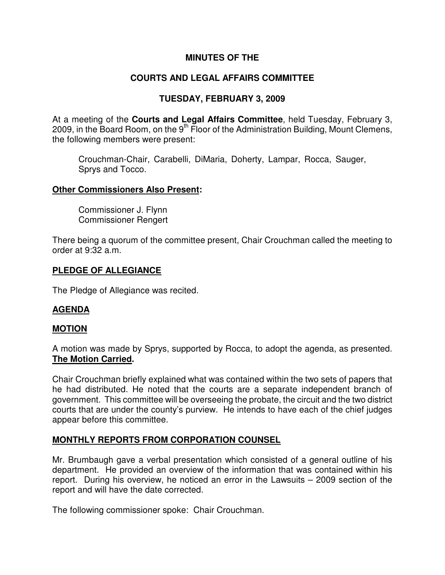## **MINUTES OF THE**

# **COURTS AND LEGAL AFFAIRS COMMITTEE**

## **TUESDAY, FEBRUARY 3, 2009**

At a meeting of the **Courts and Legal Affairs Committee**, held Tuesday, February 3, 2009, in the Board Room, on the  $9<sup>th</sup>$  Floor of the Administration Building, Mount Clemens, the following members were present:

Crouchman-Chair, Carabelli, DiMaria, Doherty, Lampar, Rocca, Sauger, Sprys and Tocco.

#### **Other Commissioners Also Present:**

Commissioner J. Flynn Commissioner Rengert

There being a quorum of the committee present, Chair Crouchman called the meeting to order at 9:32 a.m.

### **PLEDGE OF ALLEGIANCE**

The Pledge of Allegiance was recited.

### **AGENDA**

### **MOTION**

A motion was made by Sprys, supported by Rocca, to adopt the agenda, as presented. **The Motion Carried.** 

Chair Crouchman briefly explained what was contained within the two sets of papers that he had distributed. He noted that the courts are a separate independent branch of government. This committee will be overseeing the probate, the circuit and the two district courts that are under the county's purview. He intends to have each of the chief judges appear before this committee.

### **MONTHLY REPORTS FROM CORPORATION COUNSEL**

Mr. Brumbaugh gave a verbal presentation which consisted of a general outline of his department. He provided an overview of the information that was contained within his report. During his overview, he noticed an error in the Lawsuits – 2009 section of the report and will have the date corrected.

The following commissioner spoke: Chair Crouchman.